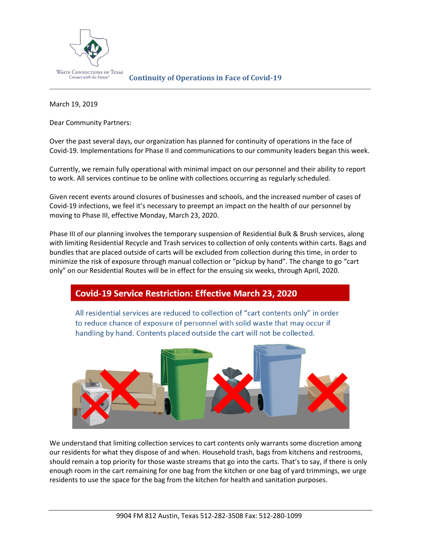

March 19, 2019

Dear Community Partners:

Over the past several days, our organization has planned for continuity of operations in the face of Covid-19. Implementations for Phase II and communications to our community leaders began this week.

Currently, we remain fully operational with minimal impact on our personnel and their ability to report to work. All services continue to be online with collections occurring as regularly scheduled.

Given recent events around closures of businesses and schools, and the increased number of cases of Covid-19 infections, we feel it's necessary to preempt an impact on the health of our personnel by moving to Phase III, effective Monday, March 23, 2020.

Phase III of our planning involves the temporary suspension of Residential Bulk & Brush services, along with limiting Residential Recycle and Trash services to collection of only contents within carts. Bags and bundles that are placed outside of carts will be excluded from collection during this time, in order to minimize the risk of exposure through manual collection or "pickup by hand". The change to go "cart only" on our Residential Routes will be in effect for the ensuing six weeks, through April, 2020.

## **Covid-19 Service Restriction: Effective March 23, 2020**

All residential services are reduced to collection of "cart contents only" in order to reduce chance of exposure of personnel with solid waste that may occur if handling by hand. Contents placed outside the cart will not be collected.



We understand that limiting collection services to cart contents only warrants some discretion among our residents for what they dispose of and when. Household trash, bags from kitchens and restrooms, should remain a top priority for those waste streams that go into the carts. That's to say, if there is only enough room in the cart remaining for one bag from the kitchen or one bag of yard trimmings, we urge residents to use the space for the bag from the kitchen for health and sanitation purposes.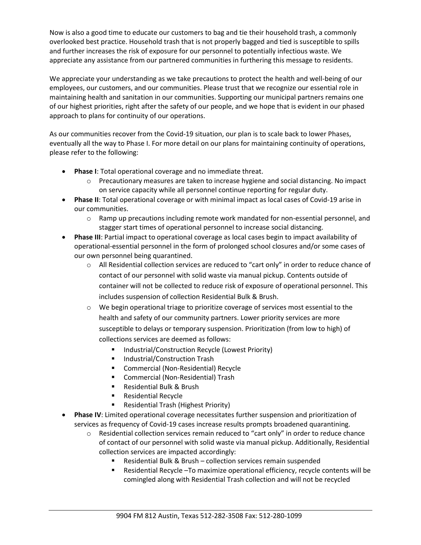Now is also a good time to educate our customers to bag and tie their household trash, a commonly overlooked best practice. Household trash that is not properly bagged and tied is susceptible to spills and further increases the risk of exposure for our personnel to potentially infectious waste. We appreciate any assistance from our partnered communities in furthering this message to residents.

We appreciate your understanding as we take precautions to protect the health and well-being of our employees, our customers, and our communities. Please trust that we recognize our essential role in maintaining health and sanitation in our communities. Supporting our municipal partners remains one of our highest priorities, right after the safety of our people, and we hope that is evident in our phased approach to plans for continuity of our operations.

As our communities recover from the Covid-19 situation, our plan is to scale back to lower Phases, eventually all the way to Phase I. For more detail on our plans for maintaining continuity of operations, please refer to the following:

- **Phase I**: Total operational coverage and no immediate threat.
	- o Precautionary measures are taken to increase hygiene and social distancing. No impact on service capacity while all personnel continue reporting for regular duty.
- **Phase II**: Total operational coverage or with minimal impact as local cases of Covid-19 arise in our communities.
	- $\circ$  Ramp up precautions including remote work mandated for non-essential personnel, and stagger start times of operational personnel to increase social distancing.
- **Phase III**: Partial impact to operational coverage as local cases begin to impact availability of operational-essential personnel in the form of prolonged school closures and/or some cases of our own personnel being quarantined.
	- o All Residential collection services are reduced to "cart only" in order to reduce chance of contact of our personnel with solid waste via manual pickup. Contents outside of container will not be collected to reduce risk of exposure of operational personnel. This includes suspension of collection Residential Bulk & Brush.
	- $\circ$  We begin operational triage to prioritize coverage of services most essential to the health and safety of our community partners. Lower priority services are more susceptible to delays or temporary suspension. Prioritization (from low to high) of collections services are deemed as follows:
		- Industrial/Construction Recycle (Lowest Priority)
		- Industrial/Construction Trash
		- Commercial (Non-Residential) Recycle
		- Commercial (Non-Residential) Trash
		- Residential Bulk & Brush
		- **Residential Recycle**
		- **Residential Trash (Highest Priority)**
- **Phase IV**: Limited operational coverage necessitates further suspension and prioritization of services as frequency of Covid-19 cases increase results prompts broadened quarantining.
	- $\circ$  Residential collection services remain reduced to "cart only" in order to reduce chance of contact of our personnel with solid waste via manual pickup. Additionally, Residential collection services are impacted accordingly:
		- Residential Bulk & Brush collection services remain suspended
		- Residential Recycle –To maximize operational efficiency, recycle contents will be comingled along with Residential Trash collection and will not be recycled